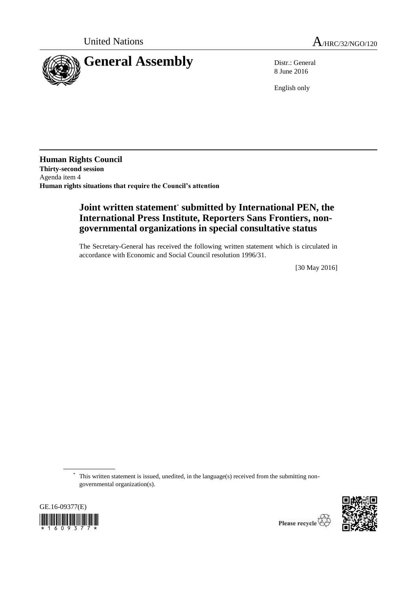

8 June 2016

English only

**Human Rights Council Thirty-second session** Agenda item 4 **Human rights situations that require the Council's attention**

# **Joint written statement**\* **submitted by International PEN, the International Press Institute, Reporters Sans Frontiers, nongovernmental organizations in special consultative status**

The Secretary-General has received the following written statement which is circulated in accordance with Economic and Social Council resolution 1996/31.

[30 May 2016]

\* This written statement is issued, unedited, in the language(s) received from the submitting nongovernmental organization(s).



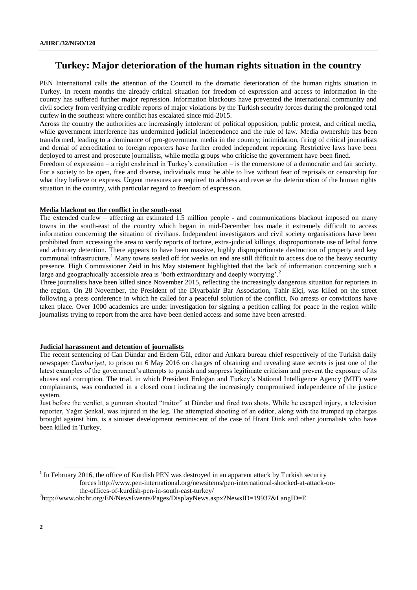## **Turkey: Major deterioration of the human rights situation in the country**

PEN International calls the attention of the Council to the dramatic deterioration of the human rights situation in Turkey. In recent months the already critical situation for freedom of expression and access to information in the country has suffered further major repression. Information blackouts have prevented the international community and civil society from verifying credible reports of major violations by the Turkish security forces during the prolonged total curfew in the southeast where conflict has escalated since mid-2015.

Across the country the authorities are increasingly intolerant of political opposition, public protest, and critical media, while government interference has undermined judicial independence and the rule of law. Media ownership has been transformed, leading to a dominance of pro-government media in the country; intimidation, firing of critical journalists and denial of accreditation to foreign reporters have further eroded independent reporting. Restrictive laws have been deployed to arrest and prosecute journalists, while media groups who criticise the government have been fined.

Freedom of expression – a right enshrined in Turkey's constitution – is the cornerstone of a democratic and fair society. For a society to be open, free and diverse, individuals must be able to live without fear of reprisals or censorship for what they believe or express. Urgent measures are required to address and reverse the deterioration of the human rights situation in the country, with particular regard to freedom of expression.

#### **Media blackout on the conflict in the south-east**

The extended curfew – affecting an estimated 1.5 million people - and communications blackout imposed on many towns in the south-east of the country which began in mid-December has made it extremely difficult to access information concerning the situation of civilians. Independent investigators and civil society organisations have been prohibited from accessing the area to verify reports of torture, extra-judicial killings, disproportionate use of lethal force and arbitrary detention. There appears to have been massive, highly disproportionate destruction of property and key communal infrastructure.<sup>1</sup> Many towns sealed off for weeks on end are still difficult to access due to the heavy security presence. High Commissioner Zeid in his May statement highlighted that the lack of information concerning such a large and geographically accessible area is 'both extraordinary and deeply worrying'.<sup>2</sup>

Three journalists have been killed since November 2015, reflecting the increasingly dangerous situation for reporters in the region. On 28 November, the President of the Diyarbakir Bar Association, Tahir Elçi, was killed on the street following a press conference in which he called for a peaceful solution of the conflict. No arrests or convictions have taken place. Over 1000 academics are under investigation for signing a petition calling for peace in the region while journalists trying to report from the area have been denied access and some have been arrested.

#### **Judicial harassment and detention of journalists**

The recent sentencing of Can Dündar and Erdem Gül, editor and Ankara bureau chief respectively of the Turkish daily newspaper *Cumhuriyet*, to prison on 6 May 2016 on charges of obtaining and revealing state secrets is just one of the latest examples of the government's attempts to punish and suppress legitimate criticism and prevent the exposure of its abuses and corruption. The trial, in which President Erdoğan and Turkey's National Intelligence Agency (MIT) were complainants, was conducted in a closed court indicating the increasingly compromised independence of the justice system.

Just before the verdict, a gunman shouted "traitor" at Dündar and fired two shots. While he escaped injury, a television reporter, Yağız Şenkal, was injured in the leg. The attempted shooting of an editor, along with the trumped up charges brought against him, is a sinister development reminiscent of the case of Hrant Dink and other journalists who have been killed in Turkey.

 $1$  In February 2016, the office of Kurdish PEN was destroyed in an apparent attack by Turkish security forces [http://www.pen-international.org/newsitems/pen-international-shocked-at-attack-on](http://www.pen-international.org/newsitems/pen-international-shocked-at-attack-on-the-offices-of-kurdish-pen-in-south-east-turkey/)[the-offices-of-kurdish-pen-in-south-east-turkey/](http://www.pen-international.org/newsitems/pen-international-shocked-at-attack-on-the-offices-of-kurdish-pen-in-south-east-turkey/)

<sup>&</sup>lt;sup>2</sup><http://www.ohchr.org/EN/NewsEvents/Pages/DisplayNews.aspx?NewsID=19937&LangID=E>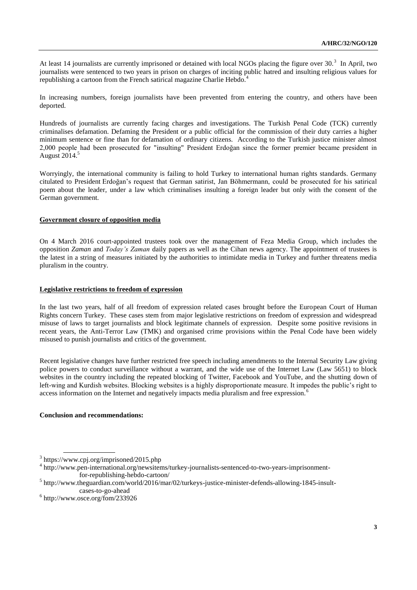At least 14 journalists are currently imprisoned or detained with local NGOs placing the figure over  $30<sup>3</sup>$ . In April, two journalists were sentenced to two years in prison on charges of inciting public hatred and insulting religious values for republishing a cartoon from the French satirical magazine Charlie Hebdo.<sup>4</sup>

In increasing numbers, foreign journalists have been prevented from entering the country, and others have been deported.

Hundreds of journalists are currently facing charges and investigations. The Turkish Penal Code (TCK) currently criminalises defamation. Defaming the President or a public official for the commission of their duty carries a higher minimum sentence or fine than for defamation of ordinary citizens. According to the Turkish justice minister almost 2,000 people had been prosecuted for "insulting" President Erdoğan since the former premier became president in August 2014.<sup>5</sup>

Worryingly, the international community is failing to hold Turkey to international human rights standards. Germany citulated to President Erdoğan's request that German satirist, Jan Böhmermann, could be prosecuted for his satirical poem about the leader, under a law which criminalises insulting a foreign leader but only with the consent of the German government.

## **Government closure of opposition media**

On 4 March 2016 court-appointed trustees took over the management of Feza Media Group, which includes the opposition *Zaman* and *Today's Zaman* daily papers as well as the Cihan news agency. The appointment of trustees is the latest in a string of measures initiated by the authorities to intimidate media in Turkey and further threatens media pluralism in the country.

## **Legislative restrictions to freedom of expression**

In the last two years, half of all freedom of expression related cases brought before the European Court of Human Rights concern Turkey. These cases stem from major legislative restrictions on freedom of expression and widespread misuse of laws to target journalists and block legitimate channels of expression. Despite some positive revisions in recent years, the Anti-Terror Law (TMK) and organised crime provisions within the Penal Code have been widely misused to punish journalists and critics of the government.

Recent legislative changes have further restricted free speech including amendments to the Internal Security Law giving police powers to conduct surveillance without a warrant, and the wide use of the Internet Law (Law 5651) to block websites in the country including the repeated blocking of Twitter, Facebook and YouTube, and the shutting down of left-wing and Kurdish websites. Blocking websites is a highly disproportionate measure. It impedes the public's right to access information on the Internet and negatively impacts media pluralism and free expression.<sup>6</sup>

## **Conclusion and recommendations:**

<sup>3</sup> <https://www.cpj.org/imprisoned/2015.php>

<sup>4</sup> [http://www.pen-international.org/newsitems/turkey-journalists-sentenced-to-two-years-imprisonment](http://www.pen-international.org/newsitems/turkey-journalists-sentenced-to-two-years-imprisonment-for-republishing-hebdo-cartoon/)[for-republishing-hebdo-cartoon/](http://www.pen-international.org/newsitems/turkey-journalists-sentenced-to-two-years-imprisonment-for-republishing-hebdo-cartoon/)

<sup>5</sup> [http://www.theguardian.com/world/2016/mar/02/turkeys-justice-minister-defends-allowing-1845-insult](http://www.theguardian.com/world/2016/mar/02/turkeys-justice-minister-defends-allowing-1845-insult-cases-to-go-ahead)[cases-to-go-ahead](http://www.theguardian.com/world/2016/mar/02/turkeys-justice-minister-defends-allowing-1845-insult-cases-to-go-ahead)

<sup>6</sup> <http://www.osce.org/fom/233926>